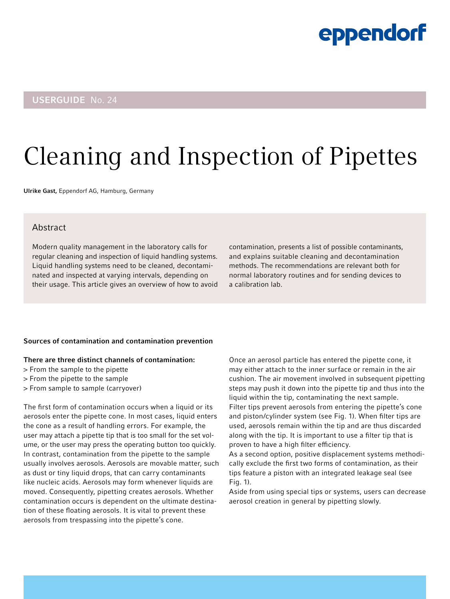#### USERGUIDE No. 24

# Cleaning and Inspection of Pipettes

Ulrike Gast, Eppendorf AG, Hamburg, Germany

#### Abstract

Modern quality management in the laboratory calls for regular cleaning and inspection of liquid handling systems. Liquid handling systems need to be cleaned, decontaminated and inspected at varying intervals, depending on their usage. This article gives an overview of how to avoid

contamination, presents a list of possible contaminants, and explains suitable cleaning and decontamination methods. The recommendations are relevant both for normal laboratory routines and for sending devices to a calibration lab.

#### Sources of contamination and contamination prevention

#### There are three distinct channels of contamination:

- > From the sample to the pipette
- > From the pipette to the sample
- > From sample to sample (carryover)

The first form of contamination occurs when a liquid or its aerosols enter the pipette cone. In most cases, liquid enters the cone as a result of handling errors. For example, the user may attach a pipette tip that is too small for the set volume, or the user may press the operating button too quickly. In contrast, contamination from the pipette to the sample usually involves aerosols. Aerosols are movable matter, such as dust or tiny liquid drops, that can carry contaminants like nucleic acids. Aerosols may form whenever liquids are moved. Consequently, pipetting creates aerosols. Whether contamination occurs is dependent on the ultimate destination of these floating aerosols. It is vital to prevent these aerosols from trespassing into the pipette's cone.

Once an aerosol particle has entered the pipette cone, it may either attach to the inner surface or remain in the air cushion. The air movement involved in subsequent pipetting steps may push it down into the pipette tip and thus into the liquid within the tip, contaminating the next sample. Filter tips prevent aerosols from entering the pipette's cone and piston/cylinder system (see Fig. 1). When filter tips are used, aerosols remain within the tip and are thus discarded along with the tip. It is important to use a filter tip that is proven to have a high filter efficiency.

As a second option, positive displacement systems methodically exclude the first two forms of contamination, as their tips feature a piston with an integrated leakage seal (see Fig. 1).

Aside from using special tips or systems, users can decrease aerosol creation in general by pipetting slowly.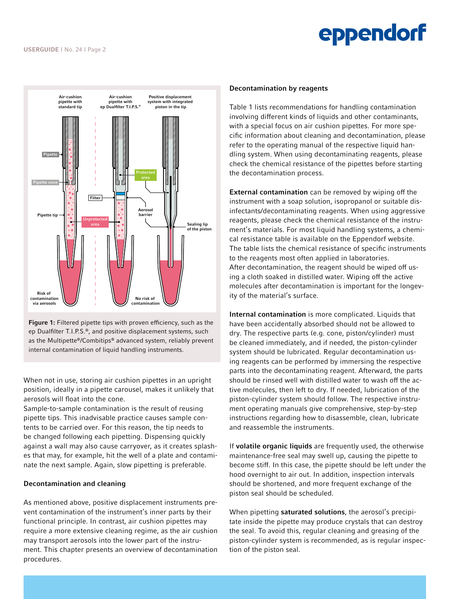

Figure 1: Filtered pipette tips with proven efficiency, such as the ep Dualfilter T.I.P.S.®, and positive displacement systems, such as the Multipette®/Combitips® advanced system, reliably prevent internal contamination of liquid handling instruments.

When not in use, storing air cushion pipettes in an upright position, ideally in a pipette carousel, makes it unlikely that aerosols will float into the cone.

Sample-to-sample contamination is the result of reusing pipette tips. This inadvisable practice causes sample contents to be carried over. For this reason, the tip needs to be changed following each pipetting. Dispensing quickly against a wall may also cause carryover, as it creates splashes that may, for example, hit the well of a plate and contaminate the next sample. Again, slow pipetting is preferable.

#### Decontamination and cleaning

As mentioned above, positive displacement instruments prevent contamination of the instrument's inner parts by their functional principle. In contrast, air cushion pipettes may require a more extensive cleaning regime, as the air cushion may transport aerosols into the lower part of the instrument. This chapter presents an overview of decontamination procedures.

#### Decontamination by reagents

Table 1 lists recommendations for handling contamination involving different kinds of liquids and other contaminants, with a special focus on air cushion pipettes. For more specific information about cleaning and decontamination, please refer to the operating manual of the respective liquid handling system. When using decontaminating reagents, please check the chemical resistance of the pipettes before starting the decontamination process.

External contamination can be removed by wiping off the instrument with a soap solution, isopropanol or suitable disinfectants/decontaminating reagents. When using aggressive reagents, please check the chemical resistance of the instrument's materials. For most liquid handling systems, a chemical resistance table is available on the Eppendorf website. The table lists the chemical resistance of specific instruments to the reagents most often applied in laboratories. After decontamination, the reagent should be wiped off using a cloth soaked in distilled water. Wiping off the active molecules after decontamination is important for the longevity of the material's surface.

Internal contamination is more complicated. Liquids that have been accidentally absorbed should not be allowed to dry. The respective parts (e.g. cone, piston/cylinder) must be cleaned immediately, and if needed, the piston-cylinder system should be lubricated. Regular decontamination using reagents can be performed by immersing the respective parts into the decontaminating reagent. Afterward, the parts should be rinsed well with distilled water to wash off the active molecules, then left to dry. If needed, lubrication of the piston-cylinder system should follow. The respective instrument operating manuals give comprehensive, step-by-step instructions regarding how to disassemble, clean, lubricate and reassemble the instruments.

If volatile organic liquids are frequently used, the otherwise maintenance-free seal may swell up, causing the pipette to become stiff. In this case, the pipette should be left under the hood overnight to air out. In addition, inspection intervals should be shortened, and more frequent exchange of the piston seal should be scheduled.

When pipetting **saturated solutions**, the aerosol's precipitate inside the pipette may produce crystals that can destroy the seal. To avoid this, regular cleaning and greasing of the piston-cylinder system is recommended, as is regular inspection of the piston seal.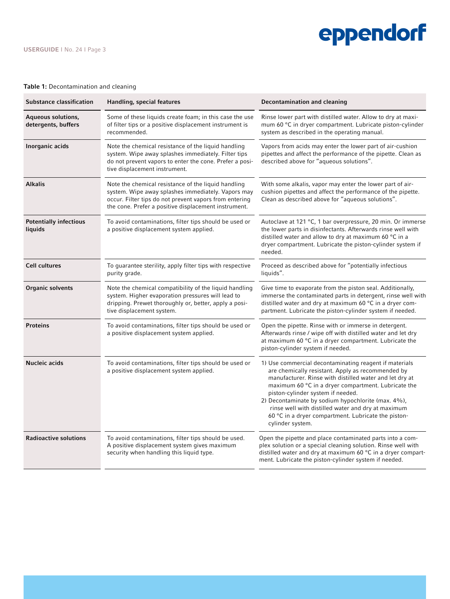#### Table 1: Decontamination and cleaning

| <b>Substance classification</b>           | Handling, special features                                                                                                                                                                                                  | <b>Decontamination and cleaning</b>                                                                                                                                                                                                                                                                                                                                                                                                                       |
|-------------------------------------------|-----------------------------------------------------------------------------------------------------------------------------------------------------------------------------------------------------------------------------|-----------------------------------------------------------------------------------------------------------------------------------------------------------------------------------------------------------------------------------------------------------------------------------------------------------------------------------------------------------------------------------------------------------------------------------------------------------|
| Aqueous solutions,<br>detergents, buffers | Some of these liquids create foam; in this case the use<br>of filter tips or a positive displacement instrument is<br>recommended.                                                                                          | Rinse lower part with distilled water. Allow to dry at maxi-<br>mum 60 °C in dryer compartment. Lubricate piston-cylinder<br>system as described in the operating manual.                                                                                                                                                                                                                                                                                 |
| Inorganic acids                           | Note the chemical resistance of the liquid handling<br>system. Wipe away splashes immediately. Filter tips<br>do not prevent vapors to enter the cone. Prefer a posi-<br>tive displacement instrument.                      | Vapors from acids may enter the lower part of air-cushion<br>pipettes and affect the performance of the pipette. Clean as<br>described above for "aqueous solutions".                                                                                                                                                                                                                                                                                     |
| <b>Alkalis</b>                            | Note the chemical resistance of the liquid handling<br>system. Wipe away splashes immediately. Vapors may<br>occur. Filter tips do not prevent vapors from entering<br>the cone. Prefer a positive displacement instrument. | With some alkalis, vapor may enter the lower part of air-<br>cushion pipettes and affect the performance of the pipette.<br>Clean as described above for "aqueous solutions".                                                                                                                                                                                                                                                                             |
| <b>Potentially infectious</b><br>liquids  | To avoid contaminations, filter tips should be used or<br>a positive displacement system applied.                                                                                                                           | Autoclave at 121 °C, 1 bar overpressure, 20 min. Or immerse<br>the lower parts in disinfectants. Afterwards rinse well with<br>distilled water and allow to dry at maximum 60 °C in a<br>dryer compartment. Lubricate the piston-cylinder system if<br>needed.                                                                                                                                                                                            |
| <b>Cell cultures</b>                      | To guarantee sterility, apply filter tips with respective<br>purity grade.                                                                                                                                                  | Proceed as described above for "potentially infectious<br>liquids".                                                                                                                                                                                                                                                                                                                                                                                       |
| <b>Organic solvents</b>                   | Note the chemical compatibility of the liquid handling<br>system. Higher evaporation pressures will lead to<br>dripping. Prewet thoroughly or, better, apply a posi-<br>tive displacement system.                           | Give time to evaporate from the piston seal. Additionally,<br>immerse the contaminated parts in detergent, rinse well with<br>distilled water and dry at maximum 60 °C in a dryer com-<br>partment. Lubricate the piston-cylinder system if needed.                                                                                                                                                                                                       |
| <b>Proteins</b>                           | To avoid contaminations, filter tips should be used or<br>a positive displacement system applied.                                                                                                                           | Open the pipette. Rinse with or immerse in detergent.<br>Afterwards rinse / wipe off with distilled water and let dry<br>at maximum 60 °C in a dryer compartment. Lubricate the<br>piston-cylinder system if needed.                                                                                                                                                                                                                                      |
| <b>Nucleic acids</b>                      | To avoid contaminations, filter tips should be used or<br>a positive displacement system applied.                                                                                                                           | 1) Use commercial decontaminating reagent if materials<br>are chemically resistant. Apply as recommended by<br>manufacturer. Rinse with distilled water and let dry at<br>maximum 60 °C in a dryer compartment. Lubricate the<br>piston-cylinder system if needed.<br>2) Decontaminate by sodium hypochlorite (max. 4%),<br>rinse well with distilled water and dry at maximum<br>60 °C in a dryer compartment. Lubricate the piston-<br>cylinder system. |
| <b>Radioactive solutions</b>              | To avoid contaminations, filter tips should be used.<br>A positive displacement system gives maximum<br>security when handling this liquid type.                                                                            | Open the pipette and place contaminated parts into a com-<br>plex solution or a special cleaning solution. Rinse well with<br>distilled water and dry at maximum 60 °C in a dryer compart-<br>ment. Lubricate the piston-cylinder system if needed.                                                                                                                                                                                                       |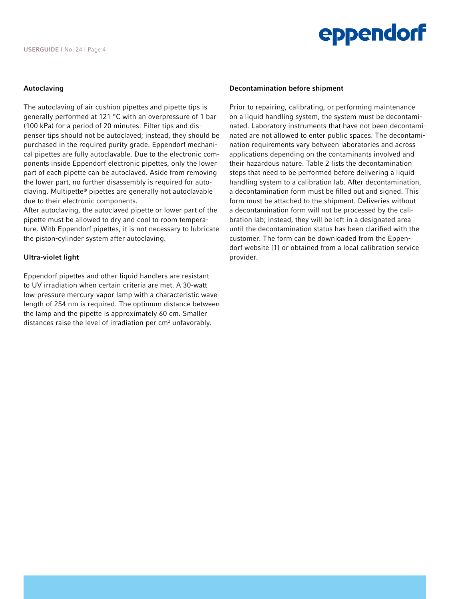#### Autoclaving

The autoclaving of air cushion pipettes and pipette tips is generally performed at 121 °C with an overpressure of 1 bar (100 kPa) for a period of 20 minutes. Filter tips and dispenser tips should not be autoclaved; instead, they should be purchased in the required purity grade. Eppendorf mechanical pipettes are fully autoclavable. Due to the electronic components inside Eppendorf electronic pipettes, only the lower part of each pipette can be autoclaved. Aside from removing the lower part, no further disassembly is required for autoclaving. Multipette® pipettes are generally not autoclavable due to their electronic components.

After autoclaving, the autoclaved pipette or lower part of the pipette must be allowed to dry and cool to room temperature. With Eppendorf pipettes, it is not necessary to lubricate the piston-cylinder system after autoclaving.

#### Ultra-violet light

Eppendorf pipettes and other liquid handlers are resistant to UV irradiation when certain criteria are met. A 30-watt low-pressure mercury-vapor lamp with a characteristic wavelength of 254 nm is required. The optimum distance between the lamp and the pipette is approximately 60 cm. Smaller distances raise the level of irradiation per  $cm<sup>2</sup>$  unfavorably.

#### Decontamination before shipment

Prior to repairing, calibrating, or performing maintenance on a liquid handling system, the system must be decontaminated. Laboratory instruments that have not been decontaminated are not allowed to enter public spaces. The decontamination requirements vary between laboratories and across applications depending on the contaminants involved and their hazardous nature. Table 2 lists the decontamination steps that need to be performed before delivering a liquid handling system to a calibration lab. After decontamination, a decontamination form must be filled out and signed. This form must be attached to the shipment. Deliveries without a decontamination form will not be processed by the calibration lab; instead, they will be left in a designated area until the decontamination status has been clarified with the customer. The form can be downloaded from the Eppendorf website [1] or obtained from a local calibration service provider.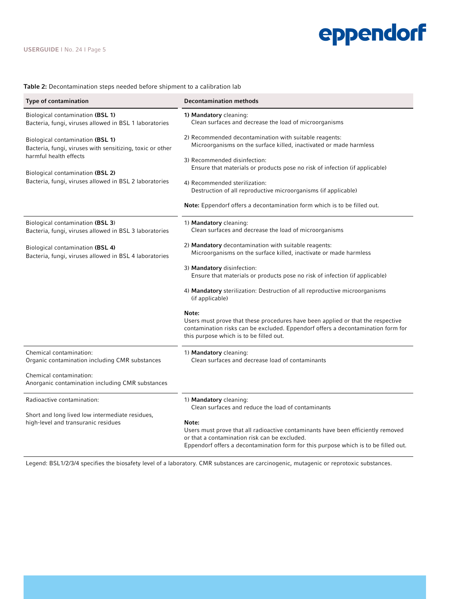#### Table 2: Decontamination steps needed before shipment to a calibration lab

| Type of contamination                                                                                                                                                                                                        | <b>Decontamination methods</b>                                                                                                                                                                                                                                                                                                                                                                                                                                                                                                                                     |
|------------------------------------------------------------------------------------------------------------------------------------------------------------------------------------------------------------------------------|--------------------------------------------------------------------------------------------------------------------------------------------------------------------------------------------------------------------------------------------------------------------------------------------------------------------------------------------------------------------------------------------------------------------------------------------------------------------------------------------------------------------------------------------------------------------|
| Biological contamination (BSL 1)<br>Bacteria, fungi, viruses allowed in BSL 1 laboratories                                                                                                                                   | 1) Mandatory cleaning:<br>Clean surfaces and decrease the load of microorganisms                                                                                                                                                                                                                                                                                                                                                                                                                                                                                   |
| <b>Biological contamination (BSL 1)</b><br>Bacteria, fungi, viruses with sensitizing, toxic or other<br>harmful health effects<br>Biological contamination (BSL 2)<br>Bacteria, fungi, viruses allowed in BSL 2 laboratories | 2) Recommended decontamination with suitable reagents:<br>Microorganisms on the surface killed, inactivated or made harmless<br>3) Recommended disinfection:<br>Ensure that materials or products pose no risk of infection (if applicable)<br>4) Recommended sterilization:<br>Destruction of all reproductive microorganisms (if applicable)<br><b>Note:</b> Eppendorf offers a decontamination form which is to be filled out.                                                                                                                                  |
| Biological contamination (BSL 3)<br>Bacteria, fungi, viruses allowed in BSL 3 laboratories                                                                                                                                   | 1) Mandatory cleaning:<br>Clean surfaces and decrease the load of microorganisms                                                                                                                                                                                                                                                                                                                                                                                                                                                                                   |
| Biological contamination (BSL 4)<br>Bacteria, fungi, viruses allowed in BSL 4 laboratories                                                                                                                                   | 2) Mandatory decontamination with suitable reagents:<br>Microorganisms on the surface killed, inactivate or made harmless<br>3) Mandatory disinfection:<br>Ensure that materials or products pose no risk of infection (if applicable)<br>4) Mandatory sterilization: Destruction of all reproductive microorganisms<br>(if applicable)<br>Note:<br>Users must prove that these procedures have been applied or that the respective<br>contamination risks can be excluded. Eppendorf offers a decontamination form for<br>this purpose which is to be filled out. |
| Chemical contamination:<br>Organic contamination including CMR substances<br>Chemical contamination:<br>Anorganic contamination including CMR substances                                                                     | 1) Mandatory cleaning:<br>Clean surfaces and decrease load of contaminants                                                                                                                                                                                                                                                                                                                                                                                                                                                                                         |
| Radioactive contamination:<br>Short and long lived low intermediate residues,<br>high-level and transuranic residues                                                                                                         | 1) Mandatory cleaning:<br>Clean surfaces and reduce the load of contaminants<br>Note:<br>Users must prove that all radioactive contaminants have been efficiently removed<br>or that a contamination risk can be excluded.<br>Eppendorf offers a decontamination form for this purpose which is to be filled out.                                                                                                                                                                                                                                                  |

Legend: BSL1/2/3/4 specifies the biosafety level of a laboratory. CMR substances are carcinogenic, mutagenic or reprotoxic substances.